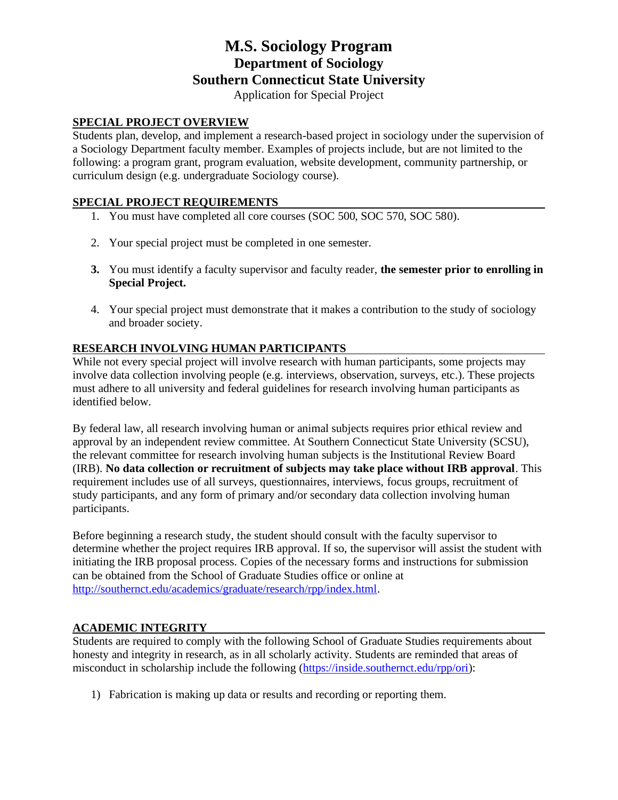# **M.S. Sociology Program Department of Sociology Southern Connecticut State University**

Application for Special Project

### **SPECIAL PROJECT OVERVIEW**

Students plan, develop, and implement a research-based project in sociology under the supervision of a Sociology Department faculty member. Examples of projects include, but are not limited to the following: a program grant, program evaluation, website development, community partnership, or curriculum design (e.g. undergraduate Sociology course).

### **SPECIAL PROJECT REQUIREMENTS**

- 1. You must have completed all core courses (SOC 500, SOC 570, SOC 580).
- 2. Your special project must be completed in one semester.
- **3.** You must identify a faculty supervisor and faculty reader, **the semester prior to enrolling in Special Project.**
- 4. Your special project must demonstrate that it makes a contribution to the study of sociology and broader society.

#### **RESEARCH INVOLVING HUMAN PARTICIPANTS**

While not every special project will involve research with human participants, some projects may involve data collection involving people (e.g. interviews, observation, surveys, etc.). These projects must adhere to all university and federal guidelines for research involving human participants as identified below.

By federal law, all research involving human or animal subjects requires prior ethical review and approval by an independent review committee. At Southern Connecticut State University (SCSU), the relevant committee for research involving human subjects is the Institutional Review Board (IRB). **No data collection or recruitment of subjects may take place without IRB approval**. This requirement includes use of all surveys, questionnaires, interviews, focus groups, recruitment of study participants, and any form of primary and/or secondary data collection involving human participants.

Before beginning a research study, the student should consult with the faculty supervisor to determine whether the project requires IRB approval. If so, the supervisor will assist the student with initiating the IRB proposal process. Copies of the necessary forms and instructions for submission can be obtained from the School of Graduate Studies office or online at [http://southernct.edu/academics/graduate/research/rpp/index.html.](http://southernct.edu/academics/graduate/research/rpp/index.html)

### **ACADEMIC INTEGRITY**

Students are required to comply with the following School of Graduate Studies requirements about honesty and integrity in research, as in all scholarly activity. Students are reminded that areas of misconduct in scholarship include the following [\(https://inside.southernct.edu/rpp/ori\)](https://inside.southernct.edu/rpp/ori):

1) Fabrication is making up data or results and recording or reporting them.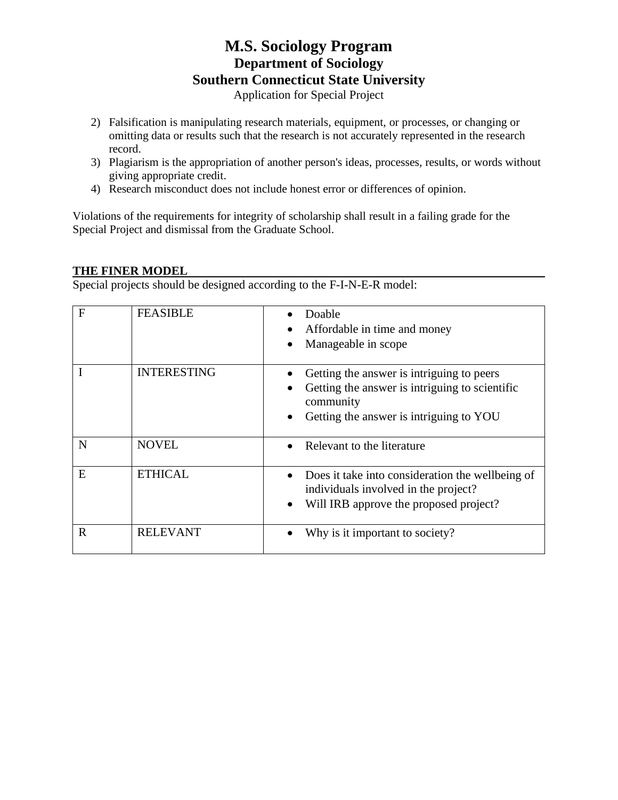# **M.S. Sociology Program Department of Sociology Southern Connecticut State University**

Application for Special Project

- 2) Falsification is manipulating research materials, equipment, or processes, or changing or omitting data or results such that the research is not accurately represented in the research record.
- 3) Plagiarism is the appropriation of another person's ideas, processes, results, or words without giving appropriate credit.
- 4) Research misconduct does not include honest error or differences of opinion.

Violations of the requirements for integrity of scholarship shall result in a failing grade for the Special Project and dismissal from the Graduate School.

#### **THE FINER MODEL**

Special projects should be designed according to the F-I-N-E-R model:

| F | <b>FEASIBLE</b>    | Doable<br>Affordable in time and money<br>Manageable in scope                                                                                       |
|---|--------------------|-----------------------------------------------------------------------------------------------------------------------------------------------------|
|   | <b>INTERESTING</b> | Getting the answer is intriguing to peers<br>Getting the answer is intriguing to scientific<br>community<br>Getting the answer is intriguing to YOU |
| N | <b>NOVEL</b>       | Relevant to the literature                                                                                                                          |
| E | <b>ETHICAL</b>     | Does it take into consideration the wellbeing of<br>individuals involved in the project?<br>Will IRB approve the proposed project?<br>$\bullet$     |
| R | <b>RELEVANT</b>    | Why is it important to society?                                                                                                                     |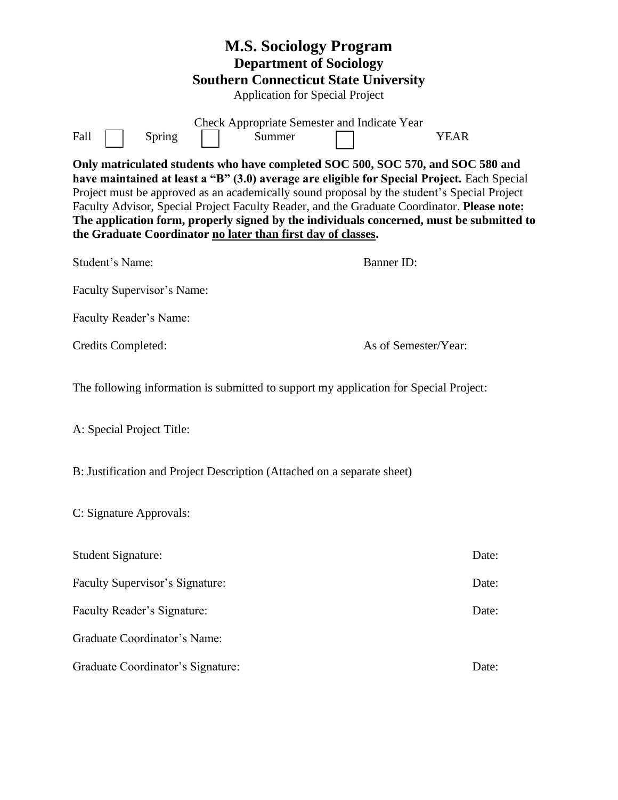| <b>M.S. Sociology Program</b><br><b>Department of Sociology</b><br><b>Southern Connecticut State University</b><br><b>Application for Special Project</b>                                                                                                                                                                                                                                                                                                                                                                                |                      |  |  |  |  |
|------------------------------------------------------------------------------------------------------------------------------------------------------------------------------------------------------------------------------------------------------------------------------------------------------------------------------------------------------------------------------------------------------------------------------------------------------------------------------------------------------------------------------------------|----------------------|--|--|--|--|
| Check Appropriate Semester and Indicate Year<br>Summer<br>Fall<br>Spring                                                                                                                                                                                                                                                                                                                                                                                                                                                                 | <b>YEAR</b>          |  |  |  |  |
| Only matriculated students who have completed SOC 500, SOC 570, and SOC 580 and<br>have maintained at least a "B" (3.0) average are eligible for Special Project. Each Special<br>Project must be approved as an academically sound proposal by the student's Special Project<br>Faculty Advisor, Special Project Faculty Reader, and the Graduate Coordinator. Please note:<br>The application form, properly signed by the individuals concerned, must be submitted to<br>the Graduate Coordinator no later than first day of classes. |                      |  |  |  |  |
| Student's Name:                                                                                                                                                                                                                                                                                                                                                                                                                                                                                                                          | <b>Banner ID:</b>    |  |  |  |  |
| Faculty Supervisor's Name:                                                                                                                                                                                                                                                                                                                                                                                                                                                                                                               |                      |  |  |  |  |
| Faculty Reader's Name:                                                                                                                                                                                                                                                                                                                                                                                                                                                                                                                   |                      |  |  |  |  |
| Credits Completed:                                                                                                                                                                                                                                                                                                                                                                                                                                                                                                                       | As of Semester/Year: |  |  |  |  |
| The following information is submitted to support my application for Special Project:                                                                                                                                                                                                                                                                                                                                                                                                                                                    |                      |  |  |  |  |
| A: Special Project Title:                                                                                                                                                                                                                                                                                                                                                                                                                                                                                                                |                      |  |  |  |  |
| B: Justification and Project Description (Attached on a separate sheet)                                                                                                                                                                                                                                                                                                                                                                                                                                                                  |                      |  |  |  |  |
| C: Signature Approvals:                                                                                                                                                                                                                                                                                                                                                                                                                                                                                                                  |                      |  |  |  |  |
| <b>Student Signature:</b>                                                                                                                                                                                                                                                                                                                                                                                                                                                                                                                | Date:                |  |  |  |  |
| Faculty Supervisor's Signature:                                                                                                                                                                                                                                                                                                                                                                                                                                                                                                          | Date:                |  |  |  |  |
| Faculty Reader's Signature:                                                                                                                                                                                                                                                                                                                                                                                                                                                                                                              | Date:                |  |  |  |  |
| Graduate Coordinator's Name:                                                                                                                                                                                                                                                                                                                                                                                                                                                                                                             |                      |  |  |  |  |
| Graduate Coordinator's Signature:                                                                                                                                                                                                                                                                                                                                                                                                                                                                                                        | Date:                |  |  |  |  |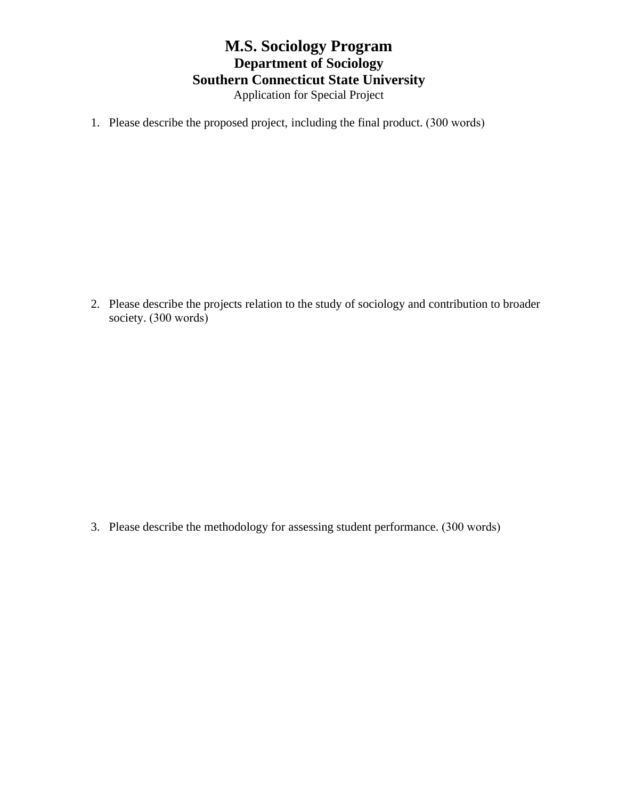### **M.S. Sociology Program Department of Sociology Southern Connecticut State University** Application for Special Project

1. Please describe the proposed project, including the final product. (300 words)

2. Please describe the projects relation to the study of sociology and contribution to broader society. (300 words) ٦

3. Please describe the methodology for assessing student performance. (300 words)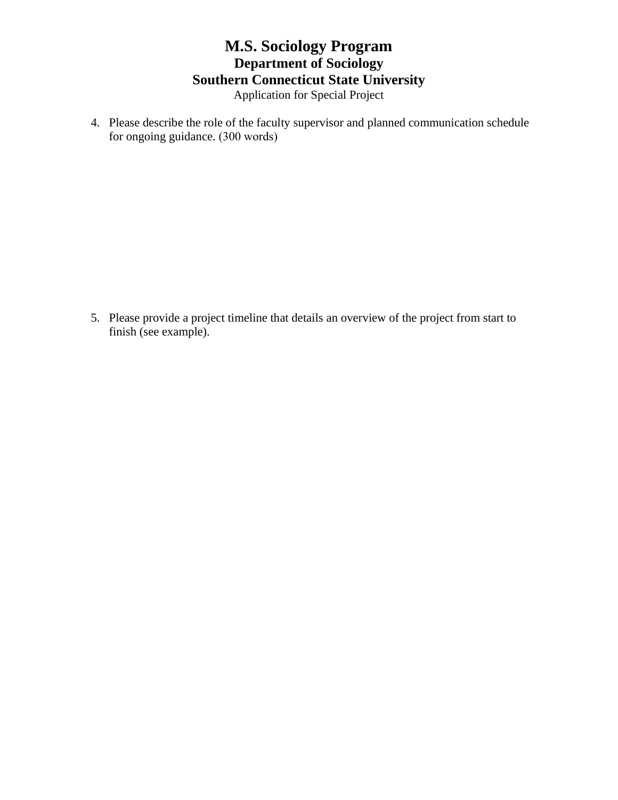### **M.S. Sociology Program Department of Sociology Southern Connecticut State University** Application for Special Project

4. Please describe the role of the faculty supervisor and planned communication schedule for ongoing guidance. (300 words)

5. Please provide a project timeline that details an overview of the project from start to finish (see example).